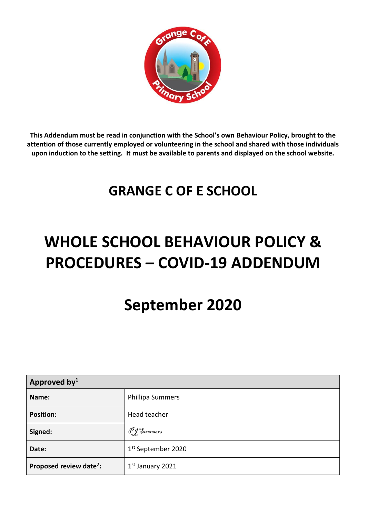

**This Addendum must be read in conjunction with the School's own Behaviour Policy, brought to the attention of those currently employed or volunteering in the school and shared with those individuals upon induction to the setting. It must be available to parents and displayed on the school website.**

## **GRANGE C OF E SCHOOL**

# **WHOLE SCHOOL BEHAVIOUR POLICY & PROCEDURES – COVID-19 ADDENDUM**

## **September 2020**

| Approved by $1$                     |                                |  |
|-------------------------------------|--------------------------------|--|
| Name:                               | <b>Phillipa Summers</b>        |  |
| <b>Position:</b>                    | Head teacher                   |  |
| Signed:                             | DJ Summers                     |  |
| Date:                               | 1 <sup>st</sup> September 2020 |  |
| Proposed review date <sup>2</sup> : | 1 <sup>st</sup> January 2021   |  |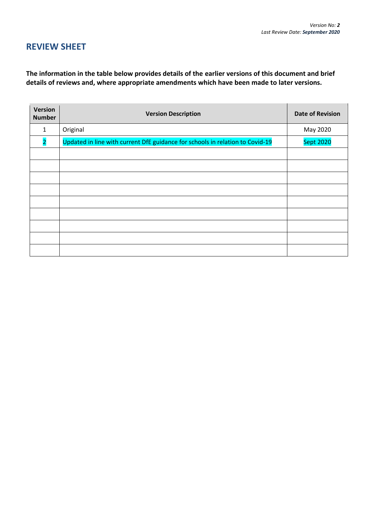### **REVIEW SHEET**

**The information in the table below provides details of the earlier versions of this document and brief details of reviews and, where appropriate amendments which have been made to later versions.**

| Version<br><b>Number</b> | <b>Version Description</b>                                                    | <b>Date of Revision</b> |
|--------------------------|-------------------------------------------------------------------------------|-------------------------|
| 1                        | Original                                                                      | May 2020                |
| $\overline{2}$           | Updated in line with current DfE guidance for schools in relation to Covid-19 | <b>Sept 2020</b>        |
|                          |                                                                               |                         |
|                          |                                                                               |                         |
|                          |                                                                               |                         |
|                          |                                                                               |                         |
|                          |                                                                               |                         |
|                          |                                                                               |                         |
|                          |                                                                               |                         |
|                          |                                                                               |                         |
|                          |                                                                               |                         |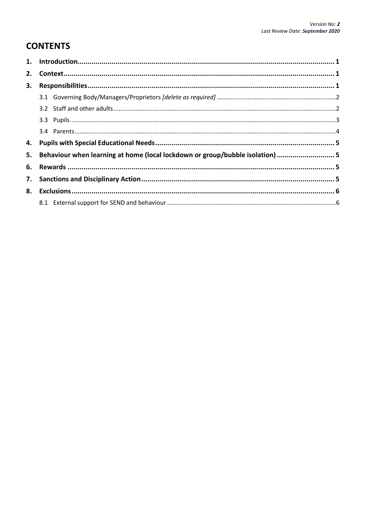### **CONTENTS**

| 3. |                                                                                |  |
|----|--------------------------------------------------------------------------------|--|
|    |                                                                                |  |
|    |                                                                                |  |
|    |                                                                                |  |
|    |                                                                                |  |
|    |                                                                                |  |
|    | 5. Behaviour when learning at home (local lockdown or group/bubble isolation)5 |  |
|    |                                                                                |  |
|    |                                                                                |  |
|    |                                                                                |  |
|    |                                                                                |  |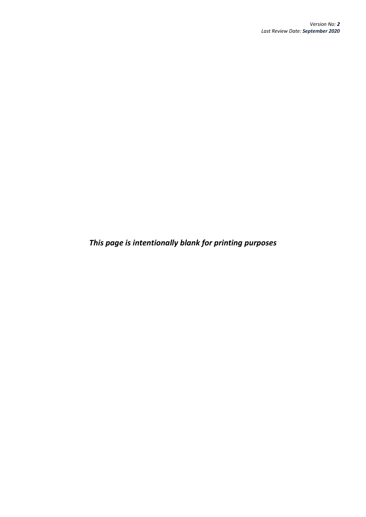*This page is intentionally blank for printing purposes*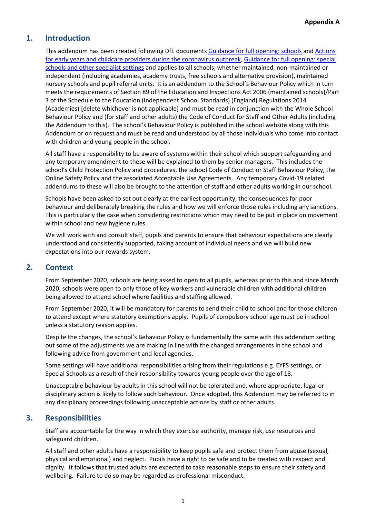#### <span id="page-4-0"></span>**1. Introduction**

This addendum has been created following DfE documents [Guidance for full opening: schools](https://www.gov.uk/government/publications/actions-for-schools-during-the-coronavirus-outbreak/guidance-for-full-opening-schools) an[d Actions](https://www.gov.uk/government/publications/coronavirus-covid-19-early-years-and-childcare-closures/coronavirus-covid-19-early-years-and-childcare-closures)  [for early years and childcare providers during the coronavirus outbreak,](https://www.gov.uk/government/publications/coronavirus-covid-19-early-years-and-childcare-closures/coronavirus-covid-19-early-years-and-childcare-closures) [Guidance for full opening: special](https://www.gov.uk/government/publications/guidance-for-full-opening-special-schools-and-other-specialist-settings/guidance-for-full-opening-special-schools-and-other-specialist-settings)  [schools and other specialist settings](https://www.gov.uk/government/publications/guidance-for-full-opening-special-schools-and-other-specialist-settings/guidance-for-full-opening-special-schools-and-other-specialist-settings) and applies to all schools, whether maintained, non-maintained or independent (including academies, academy trusts, free schools and alternative provision), maintained nursery schools and pupil referral units. It is an addendum to the School's Behaviour Policy which in turn meets the requirements of Section 89 of the Education and Inspections Act 2006 (maintained schools)/Part 3 of the Schedule to the Education (Independent School Standards) (England) Regulations 2014 (Academies) [delete whichever is not applicable] and must be read in conjunction with the Whole School Behaviour Policy and (for staff and other adults) the Code of Conduct for Staff and Other Adults (including the Addendum to this). The school's Behaviour Policy is published in the school website along with this Addendum or on request and must be read and understood by all those individuals who come into contact with children and young people in the school.

All staff have a responsibility to be aware of systems within their school which support safeguarding and any temporary amendment to these will be explained to them by senior managers. This includes the school's Child Protection Policy and procedures, the school Code of Conduct or Staff Behaviour Policy, the Online Safety Policy and the associated Acceptable Use Agreements. Any temporary Covid-19 related addendums to these will also be brought to the attention of staff and other adults working in our school.

Schools have been asked to set out clearly at the earliest opportunity, the consequences for poor behaviour and deliberately breaking the rules and how we will enforce those rules including any sanctions. This is particularly the case when considering restrictions which may need to be put in place on movement within school and new hygiene rules.

We will work with and consult staff, pupils and parents to ensure that behaviour expectations are clearly understood and consistently supported, taking account of individual needs and we will build new expectations into our rewards system.

#### <span id="page-4-1"></span>**2. Context**

From September 2020, schools are being asked to open to all pupils, whereas prior to this and since March 2020, schools were open to only those of key workers and vulnerable children with additional children being allowed to attend school where facilities and staffing allowed.

From September 2020, it will be mandatory for parents to send their child to school and for those children to attend except where statutory exemptions apply. Pupils of compulsory school age must be in school unless a statutory reason applies.

Despite the changes, the school's Behaviour Policy is fundamentally the same with this addendum setting out some of the adjustments we are making in line with the changed arrangements in the school and following advice from government and local agencies.

Some settings will have additional responsibilities arising from their regulations e.g. EYFS settings, or Special Schools as a result of their responsibility towards young people over the age of 18.

Unacceptable behaviour by adults in this school will not be tolerated and, where appropriate, legal or disciplinary action is likely to follow such behaviour. Once adopted, this Addendum may be referred to in any disciplinary proceedings following unacceptable actions by staff or other adults.

#### <span id="page-4-2"></span>**3. Responsibilities**

Staff are accountable for the way in which they exercise authority, manage risk, use resources and safeguard children.

All staff and other adults have a responsibility to keep pupils safe and protect them from abuse (sexual, physical and emotional) and neglect. Pupils have a right to be safe and to be treated with respect and dignity. It follows that trusted adults are expected to take reasonable steps to ensure their safety and wellbeing. Failure to do so may be regarded as professional misconduct.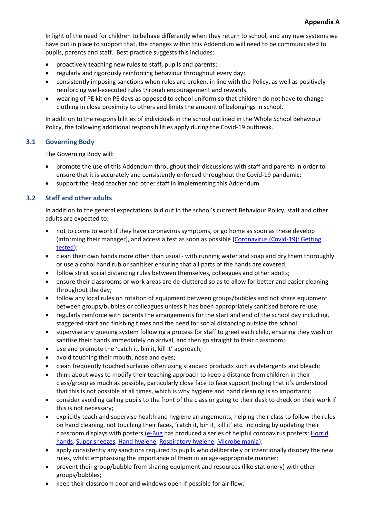In light of the need for children to behave differently when they return to school, and any new systems we have put in place to support that, the changes within this Addendum will need to be communicated to pupils, parents and staff. Best practice suggests this includes:

- proactively teaching new rules to staff, pupils and parents;
- regularly and rigorously reinforcing behaviour throughout every day;
- consistently imposing sanctions when rules are broken, in line with the Policy, as well as positively reinforcing well-executed rules through encouragement and rewards.
- wearing of PE kit on PE days as opposed to school uniform so that children do not have to change clothing in close proximity to others and limits the amount of belongings in school.

In addition to the responsibilities of individuals in the school outlined in the Whole School Behaviour Policy, the following additional responsibilities apply during the Covid-19 outbreak.

#### <span id="page-5-0"></span>**3.1 Governing Body**

The Governing Body will:

- promote the use of this Addendum throughout their discussions with staff and parents in order to ensure that it is accurately and consistently enforced throughout the Covid-19 pandemic;
- support the Head teacher and other staff in implementing this Addendum

#### <span id="page-5-1"></span>**3.2 Staff and other adults**

In addition to the general expectations laid out in the school's current Behaviour Policy, staff and other adults are expected to:

- not to come to work if they have coronavirus symptoms, or go home as soon as these develop (informing their manager), and access a test as soon as possible [\(Coronavirus \(Covid-19\): Getting](https://www.gov.uk/get-coronavirus-test)  [tested\)](https://www.gov.uk/get-coronavirus-test);
- clean their own hands more often than usual with running water and soap and dry them thoroughly or use alcohol hand rub or sanitiser ensuring that all parts of the hands are covered;
- follow strict social distancing rules between themselves, colleagues and other adults;
- ensure their classrooms or work areas are de-cluttered so as to allow for better and easier cleaning throughout the day;
- follow any local rules on rotation of equipment between groups/bubbles and not share equipment between groups/bubbles or colleagues unless it has been appropriately sanitised before re-use;
- regularly reinforce with parents the arrangements for the start and end of the school day including, staggered start and finishing times and the need for social distancing outside the school;
- supervise any queuing system following a process for staff to greet each child, ensuring they wash or sanitise their hands immediately on arrival, and then go straight to their classroom;
- use and promote the 'catch it, bin it, kill it' approach;
- avoid touching their mouth, nose and eyes;
- clean frequently touched surfaces often using standard products such as detergents and bleach;
- think about ways to modify their teaching approach to keep a distance from children in their class/group as much as possible, particularly close face to face support (noting that it's understood that this is not possible at all times, which is why hygiene and hand cleaning is so important);
- consider avoiding calling pupils to the front of the class or going to their desk to check on their work if this is not necessary;
- explicitly teach and supervise health and hygiene arrangements, helping their class to follow the rules on hand cleaning, not touching their faces, 'catch it, bin it, kill it' etc. including by updating their classroom displays with posters [\(e-Bug](https://e-bug.eu/eng_home.aspx?cc=eng&ss=1&t=Information%20about%20the%20Coronavirus) has produced a series of helpful coronavirus posters[: Horrid](https://e-bug.eu/junior_pack_ks1.aspx?cc=eng&ss=2&t=Horrid%20Hands) [hands,](https://e-bug.eu/junior_pack_ks1.aspx?cc=eng&ss=2&t=Horrid%20Hands) Super [sneezes,](https://e-bug.eu/junior_pack_ks1.aspx?cc=eng&ss=2&t=Super%20Sneezes) Hand [hygiene,](https://e-bug.eu/junior_pack.aspx?cc=eng&ss=2&t=Hand%20Hygiene) [Respiratory](https://e-bug.eu/junior_pack.aspx?cc=eng&ss=2&t=Respiratory%20Hygiene) hygiene[, Microbe](https://e-bug.eu/lang_eng/UK%20KS1%20Pack/Microbe%20Mania/Microbe-Mania-Poster.pdf) mania);
- apply consistently any sanctions required to pupils who deliberately or intentionally disobey the new rules, whilst emphasising the importance of them in an age-appropriate manner;
- prevent their group/bubble from sharing equipment and resources (like stationery) with other groups/bubbles;
- keep their classroom door and windows open if possible for air flow;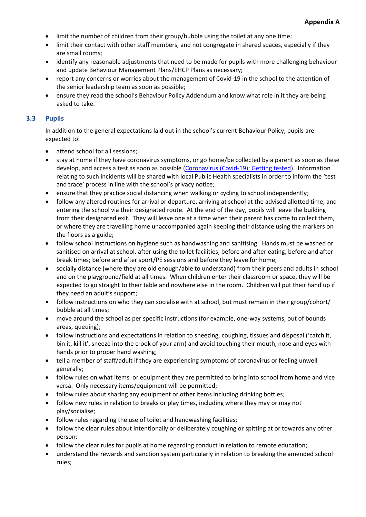- limit the number of children from their group/bubble using the toilet at any one time;
- limit their contact with other staff members, and not congregate in shared spaces, especially if they are small rooms;
- identify any reasonable adjustments that need to be made for pupils with more challenging behaviour and update Behaviour Management Plans/EHCP Plans as necessary;
- report any concerns or worries about the management of Covid-19 in the school to the attention of the senior leadership team as soon as possible;
- ensure they read the school's Behaviour Policy Addendum and know what role in it they are being asked to take.

#### <span id="page-6-0"></span>**3.3 Pupils**

In addition to the general expectations laid out in the school's current Behaviour Policy, pupils are expected to:

- attend school for all sessions;
- stay at home if they have coronavirus symptoms, or go home/be collected by a parent as soon as these develop, and access a test as soon as possible [\(Coronavirus \(Covid-19\): Getting tested\)](https://www.gov.uk/get-coronavirus-test). Information relating to such incidents will be shared with local Public Health specialists in order to inform the 'test and trace' process in line with the school's privacy notice;
- ensure that they practice social distancing when walking or cycling to school independently;
- follow any altered routines for arrival or departure, arriving at school at the advised allotted time, and entering the school via their designated route. At the end of the day, pupils will leave the building from their designated exit. They will leave one at a time when their parent has come to collect them, or where they are travelling home unaccompanied again keeping their distance using the markers on the floors as a guide;
- follow school instructions on hygiene such as handwashing and sanitising. Hands must be washed or sanitised on arrival at school, after using the toilet facilities, before and after eating, before and after break times; before and after sport/PE sessions and before they leave for home;
- socially distance (where they are old enough/able to understand) from their peers and adults in school and on the playground/field at all times. When children enter their classroom or space, they will be expected to go straight to their table and nowhere else in the room. Children will put their hand up if they need an adult's support;
- follow instructions on who they can socialise with at school, but must remain in their group/cohort/ bubble at all times;
- move around the school as per specific instructions (for example, one-way systems, out of bounds areas, queuing);
- follow instructions and expectations in relation to sneezing, coughing, tissues and disposal ('catch it, bin it, kill it', sneeze into the crook of your arm) and avoid touching their mouth, nose and eyes with hands prior to proper hand washing;
- tell a member of staff/adult if they are experiencing symptoms of coronavirus or feeling unwell generally;
- follow rules on what items or equipment they are permitted to bring into school from home and vice versa. Only necessary items/equipment will be permitted;
- follow rules about sharing any equipment or other items including drinking bottles;
- follow new rules in relation to breaks or play times, including where they may or may not play/socialise;
- follow rules regarding the use of toilet and handwashing facilities;
- follow the clear rules about intentionally or deliberately coughing or spitting at or towards any other person;
- follow the clear rules for pupils at home regarding conduct in relation to remote education;
- understand the rewards and sanction system particularly in relation to breaking the amended school rules;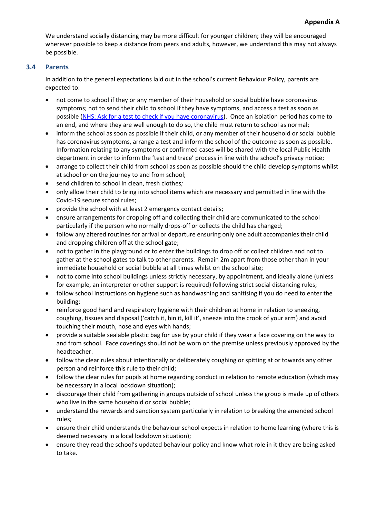We understand socially distancing may be more difficult for younger children; they will be encouraged wherever possible to keep a distance from peers and adults, however, we understand this may not always be possible.

#### <span id="page-7-0"></span>**3.4 Parents**

In addition to the general expectations laid out in the school's current Behaviour Policy, parents are expected to:

- not come to school if they or any member of their household or social bubble have coronavirus symptoms; not to send their child to school if they have symptoms, and access a test as soon as possible [\(NHS: Ask for a test to check if you have coronavirus\)](https://www.nhs.uk/conditions/coronavirus-covid-19/testing-for-coronavirus/ask-for-a-test-to-check-if-you-have-coronavirus/). Once an isolation period has come to an end, and where they are well enough to do so, the child must return to school as normal;
- inform the school as soon as possible if their child, or any member of their household or social bubble has coronavirus symptoms, arrange a test and inform the school of the outcome as soon as possible. Information relating to any symptoms or confirmed cases will be shared with the local Public Health department in order to inform the 'test and trace' process in line with the school's privacy notice;
- arrange to collect their child from school as soon as possible should the child develop symptoms whilst at school or on the journey to and from school;
- send children to school in clean, fresh clothes*;*
- only allow their child to bring into school items which are necessary and permitted in line with the Covid-19 secure school rules;
- provide the school with at least 2 emergency contact details;
- ensure arrangements for dropping off and collecting their child are communicated to the school particularly if the person who normally drops-off or collects the child has changed;
- follow any altered routines for arrival or departure ensuring only one adult accompanies their child and dropping children off at the school gate;
- not to gather in the playground or to enter the buildings to drop off or collect children and not to gather at the school gates to talk to other parents. Remain 2m apart from those other than in your immediate household or social bubble at all times whilst on the school site;
- not to come into school buildings unless strictly necessary, by appointment, and ideally alone (unless for example, an interpreter or other support is required) following strict social distancing rules;
- follow school instructions on hygiene such as handwashing and sanitising if you do need to enter the building;
- reinforce good hand and respiratory hygiene with their children at home in relation to sneezing, coughing, tissues and disposal ('catch it, bin it, kill it', sneeze into the crook of your arm) and avoid touching their mouth, nose and eyes with hands;
- provide a suitable sealable plastic bag for use by your child if they wear a face covering on the way to and from school. Face coverings should not be worn on the premise unless previously approved by the headteacher.
- follow the clear rules about intentionally or deliberately coughing or spitting at or towards any other person and reinforce this rule to their child;
- follow the clear rules for pupils at home regarding conduct in relation to remote education (which may be necessary in a local lockdown situation);
- discourage their child from gathering in groups outside of school unless the group is made up of others who live in the same household or social bubble;
- understand the rewards and sanction system particularly in relation to breaking the amended school rules;
- ensure their child understands the behaviour school expects in relation to home learning (where this is deemed necessary in a local lockdown situation);
- ensure they read the school's updated behaviour policy and know what role in it they are being asked to take.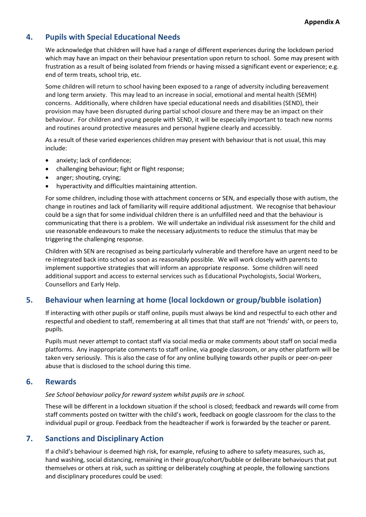#### <span id="page-8-0"></span>**4. Pupils with Special Educational Needs**

We acknowledge that children will have had a range of different experiences during the lockdown period which may have an impact on their behaviour presentation upon return to school. Some may present with frustration as a result of being isolated from friends or having missed a significant event or experience; e.g. end of term treats, school trip, etc.

Some children will return to school having been exposed to a range of adversity including bereavement and long term anxiety. This may lead to an increase in social, emotional and mental health (SEMH) concerns. Additionally, where children have special educational needs and disabilities (SEND), their provision may have been disrupted during partial school closure and there may be an impact on their behaviour. For children and young people with SEND, it will be especially important to teach new norms and routines around protective measures and personal hygiene clearly and accessibly.

As a result of these varied experiences children may present with behaviour that is not usual, this may include:

- anxiety; lack of confidence;
- challenging behaviour; fight or flight response;
- anger; shouting, crying;
- hyperactivity and difficulties maintaining attention.

For some children, including those with attachment concerns or SEN, and especially those with autism, the change in routines and lack of familiarity will require additional adjustment. We recognise that behaviour could be a sign that for some individual children there is an unfulfilled need and that the behaviour is communicating that there is a problem. We will undertake an individual risk assessment for the child and use reasonable endeavours to make the necessary adjustments to reduce the stimulus that may be triggering the challenging response.

Children with SEN are recognised as being particularly vulnerable and therefore have an urgent need to be re-integrated back into school as soon as reasonably possible. We will work closely with parents to implement supportive strategies that will inform an appropriate response. Some children will need additional support and access to external services such as Educational Psychologists, Social Workers, Counsellors and Early Help.

#### <span id="page-8-1"></span>**5. Behaviour when learning at home (local lockdown or group/bubble isolation)**

If interacting with other pupils or staff online, pupils must always be kind and respectful to each other and respectful and obedient to staff, remembering at all times that that staff are not 'friends' with, or peers to, pupils.

Pupils must never attempt to contact staff via social media or make comments about staff on social media platforms. Any inappropriate comments to staff online, via google classroom, or any other platform will be taken very seriously. This is also the case of for any online bullying towards other pupils or peer-on-peer abuse that is disclosed to the school during this time.

#### <span id="page-8-2"></span>**6. Rewards**

#### *See School behaviour policy for reward system whilst pupils are in school.*

These will be different in a lockdown situation if the school is closed; feedback and rewards will come from staff comments posted on twitter with the child's work, feedback on google classroom for the class to the individual pupil or group. Feedback from the headteacher if work is forwarded by the teacher or parent.

#### <span id="page-8-3"></span>**7. Sanctions and Disciplinary Action**

If a child's behaviour is deemed high risk, for example, refusing to adhere to safety measures, such as, hand washing, social distancing, remaining in their group/cohort/bubble or deliberate behaviours that put themselves or others at risk, such as spitting or deliberately coughing at people, the following sanctions and disciplinary procedures could be used: